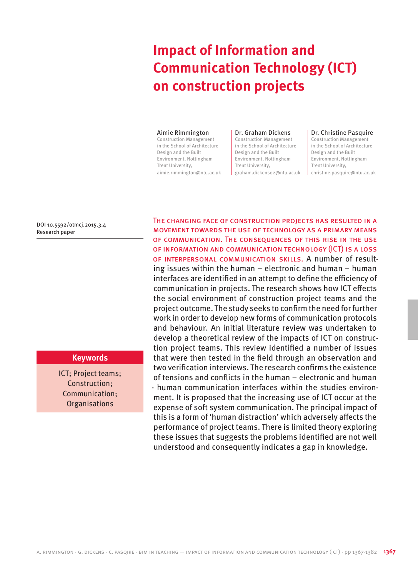# **Impact of Information and Communication Technology (ICT) on construction projects**

#### Aimie Rimmington

Construction Management in the School of Architecture Design and the Built Environment, Nottingham Trent University, aimie.rimmington@ntu.ac.uk

#### Dr. Graham Dickens

Construction Management in the School of Architecture Design and the Built Environment, Nottingham Trent University, graham.dickens02@ntu.ac.uk

#### Dr. Christine Pasquire

Construction Management in the School of Architecture Design and the Built Environment, Nottingham Trent University, christine.pasquire@ntu.ac.uk

DOI 10.5592/otmcj.2015.3.4 Research paper

# **Keywords**

ICT; Project teams; Construction; Communication; **Organisations** 

The changing face of construction projects has resulted in a movement towards the use of technology as a primary means of communication. The consequences of this rise in the use of information and communication technology (ICT) is a loss of interpersonal communication skills. A number of resulting issues within the human – electronic and human – human interfaces are identified in an attempt to define the efficiency of communication in projects. The research shows how ICT effects the social environment of construction project teams and the project outcome. The study seeks to confirm the need for further work in order to develop new forms of communication protocols and behaviour. An initial literature review was undertaken to develop a theoretical review of the impacts of ICT on construction project teams. This review identified a number of issues that were then tested in the field through an observation and two verification interviews. The research confirms the existence of tensions and conflicts in the human – electronic and human - human communication interfaces within the studies environment. It is proposed that the increasing use of ICT occur at the expense of soft system communication. The principal impact of this is a form of 'human distraction' which adversely affects the performance of project teams. There is limited theory exploring these issues that suggests the problems identified are not well understood and consequently indicates a gap in knowledge.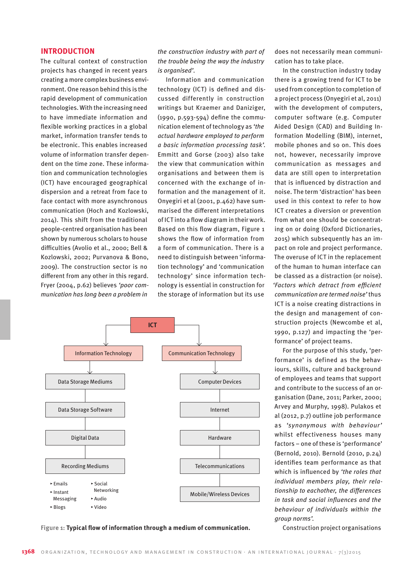#### **INTRODUCTION**

The cultural context of construction projects has changed in recent years creating a more complex business environment. One reason behind this is the rapid development of communication technologies. With the increasing need to have immediate information and flexible working practices in a global market, information transfer tends to be electronic. This enables increased volume of information transfer dependent on the time zone. These information and communication technologies (ICT) have encouraged geographical dispersion and a retreat from face to face contact with more asynchronous communication (Hoch and Kozlowski, 2014). This shift from the traditional people-centred organisation has been shown by numerous scholars to house difficulties (Avolio et al., 2000; Bell & Kozlowski, 2002; Purvanova & Bono, 2009). The construction sector is no different from any other in this regard. Fryer (2004, p.62) believes *'poor communication has long been a problem in* 

*the construction industry with part of the trouble being the way the industry is organised'*.

Information and communication technology (ICT) is defined and discussed differently in construction writings but Kraemer and Daniziger, (1990, p.593-594) define the communication element of technology as *'the actual hardware employed to perform a basic information processing task'.*  Emmitt and Gorse (2003) also take the view that communication within organisations and between them is concerned with the exchange of information and the management of it. Onyegiri et al (2001, p.462) have summarised the different interpretations of ICT into a flow diagram in their work. Based on this flow diagram, Figure 1 shows the flow of information from a form of communication. There is a need to distinguish between 'information technology' and 'communication technology' since information technology is essential in construction for the storage of information but its use



Figure 1: Typical flow of information through a medium of communication. Construction project organisations

does not necessarily mean communication has to take place.

In the construction industry today there is a growing trend for ICT to be used from conception to completion of a project process (Onyegiri et al, 2011) with the development of computers, computer software (e.g. Computer Aided Design (CAD) and Building Information Modelling (BIM), internet, mobile phones and so on. This does not, however, necessarily improve communication as messages and data are still open to interpretation that is influenced by distraction and noise. The term 'distraction' has been used in this context to refer to how ICT creates a diversion or prevention from what one should be concentrating on or doing (Oxford Dictionaries, 2015) which subsequently has an impact on role and project performance. The overuse of ICT in the replacement of the human to human interface can be classed as a distraction (or noise). *'Factors which detract from efficient communication are termed noise'* thus ICT is a noise creating distractions in the design and management of construction projects (Newcombe et al, 1990, p.127) and impacting the 'performance' of project teams.

For the purpose of this study, 'performance' is defined as the behaviours, skills, culture and background of employees and teams that support and contribute to the success of an organisation (Dane, 2011; Parker, 2000; Arvey and Murphy, 1998). Pulakos et al (2012, p.7) outline job performance as *'synonymous with behaviour'*  whilst effectiveness houses many factors – one of these is 'performance' (Bernold, 2010). Bernold (2010, p.24) identifies team performance as that which is influenced by *'the roles that individual members play, their relationship to eachother, the differences in task and social influences and the behaviour of individuals within the group norms'.*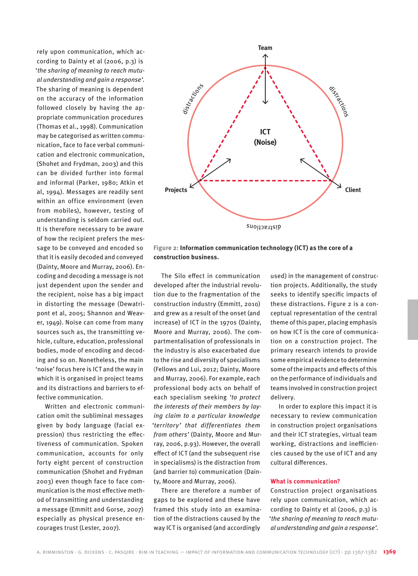rely upon communication, which according to Dainty et al (2006, p.3) is '*the sharing of meaning to reach mutual understanding and gain a response'*. The sharing of meaning is dependent on the accuracy of the information followed closely by having the appropriate communication procedures (Thomas et al., 1998). Communication may be categorised as written communication, face to face verbal communication and electronic communication, (Shohet and Frydman, 2003) and this can be divided further into formal and informal (Parker, 1980; Atkin et al, 1994). Messages are readily sent within an office environment (even from mobiles), however, testing of understanding is seldom carried out. It is therefore necessary to be aware of how the recipient prefers the message to be conveyed and encoded so that it is easily decoded and conveyed (Dainty, Moore and Murray, 2006). Encoding and decoding a message is not just dependent upon the sender and the recipient, noise has a big impact in distorting the message (Dewatripont et al, 2005; Shannon and Weaver, 1949). Noise can come from many sources such as, the transmitting vehicle, culture, education, professional bodies, mode of encoding and decoding and so on. Nonetheless, the main 'noise' focus here is ICT and the way in which it is organised in project teams and its distractions and barriers to effective communication.

Written and electronic communication omit the subliminal messages given by body language (facial expression) thus restricting the effectiveness of communication. Spoken communication, accounts for only forty eight percent of construction communication (Shohet and Frydman 2003) even though face to face communication is the most effective method of transmitting and understanding a message (Emmitt and Gorse, 2007) especially as physical presence encourages trust (Lester, 2007).



**Figure 2: Information communication technology (ICT) as the core of a construction business.**

The Silo effect in communication developed after the industrial revolution due to the fragmentation of the construction industry (Emmitt, 2010) and grew as a result of the onset (and increase) of ICT in the 1970s (Dainty, Moore and Murray, 2006). The compartmentalisation of professionals in the industry is also exacerbated due to the rise and diversity of specialisms (Fellows and Lui, 2012; Dainty, Moore and Murray, 2006). For example, each professional body acts on behalf of each specialism seeking *'to protect the interests of their members by laying claim to a particular knowledge 'territory' that differentiates them from others'* (Dainty, Moore and Murray, 2006, p.93). However, the overall effect of ICT (and the subsequent rise in specialisms) is the distraction from (and barrier to) communication (Dainty, Moore and Murray, 2006).

There are therefore a number of gaps to be explored and these have framed this study into an examination of the distractions caused by the way ICT is organised (and accordingly

used) in the management of construction projects. Additionally, the study seeks to identify specific impacts of these distractions. Figure 2 is a conceptual representation of the central theme of this paper, placing emphasis on how ICT is the core of communication on a construction project. The primary research intends to provide some empirical evidence to determine some of the impacts and effects of this on the performance of individuals and teams involved in construction project delivery.

In order to explore this impact it is necessary to review communication in construction project organisations and their ICT strategies, virtual team working, distractions and inefficiencies caused by the use of ICT and any cultural differences.

#### **What is communication?**

Construction project organisations rely upon communication, which according to Dainty et al (2006, p.3) is '*the sharing of meaning to reach mutual understanding and gain a response'*.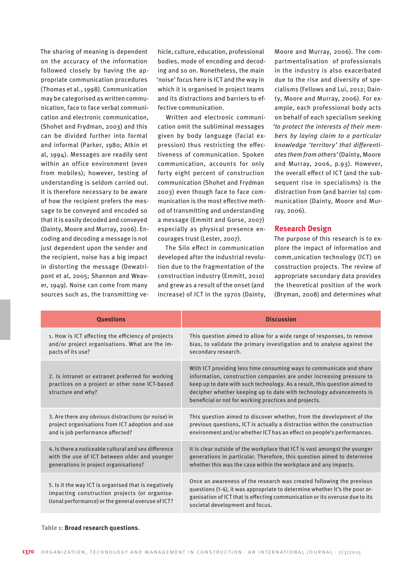The sharing of meaning is dependent on the accuracy of the information followed closely by having the appropriate communication procedures (Thomas et al., 1998). Communication may be categorised as written communication, face to face verbal communication and electronic communication, (Shohet and Frydman, 2003) and this can be divided further into formal and informal (Parker, 1980; Atkin et al, 1994). Messages are readily sent within an office environment (even from mobiles); however, testing of understanding is seldom carried out. It is therefore necessary to be aware of how the recipient prefers the message to be conveyed and encoded so that it is easily decoded and conveyed (Dainty, Moore and Murray, 2006). Encoding and decoding a message is not just dependent upon the sender and the recipient, noise has a big impact in distorting the message (Dewatripont et al, 2005; Shannon and Weaver, 1949). Noise can come from many sources such as, the transmitting ve-

hicle, culture, education, professional bodies, mode of encoding and decoding and so on. Nonetheless, the main 'noise' focus here is ICT and the way in which it is organised in project teams and its distractions and barriers to effective communication.

Written and electronic communication omit the subliminal messages given by body language (facial expression) thus restricting the effectiveness of communication. Spoken communication, accounts for only forty eight percent of construction communication (Shohet and Frydman 2003) even though face to face communication is the most effective method of transmitting and understanding a message (Emmitt and Gorse, 2007) especially as physical presence encourages trust (Lester, 2007).

The Silo effect in communication developed after the industrial revolution due to the fragmentation of the construction industry (Emmitt, 2010) and grew as a result of the onset (and increase) of ICT in the 1970s (Dainty,

Moore and Murray, 2006). The compartmentalisation of professionals in the industry is also exacerbated due to the rise and diversity of specialisms (Fellows and Lui, 2012; Dainty, Moore and Murray, 2006). For example, each professional body acts on behalf of each specialism seeking *'to protect the interests of their members by laying claim to a particular knowledge 'territory' that differentiates them from others'* (Dainty, Moore and Murray, 2006, p.93). However, the overall effect of ICT (and the subsequent rise in specialisms) is the distraction from (and barrier to) communication (Dainty, Moore and Murray, 2006).

## **Research Design**

The purpose of this research is to explore the impact of information and comm,unication technology (ICT) on construction projects. The review of appropriate secondary data provides the theoretical position of the work (Bryman, 2008) and determines what

| <b>Ouestions</b>                                                                                                                                            | <b>Discussion</b>                                                                                                                                                                                                                                                                                                                                         |
|-------------------------------------------------------------------------------------------------------------------------------------------------------------|-----------------------------------------------------------------------------------------------------------------------------------------------------------------------------------------------------------------------------------------------------------------------------------------------------------------------------------------------------------|
| 1. How is ICT affecting the efficiency of projects                                                                                                          | This question aimed to allow for a wide range of responses, to remove                                                                                                                                                                                                                                                                                     |
| and/or project organisations. What are the im-                                                                                                              | bias, to validate the primary investigation and to analyse against the                                                                                                                                                                                                                                                                                    |
| pacts of its use?                                                                                                                                           | secondary research.                                                                                                                                                                                                                                                                                                                                       |
| 2. Is intranet or extranet preferred for working<br>practices on a project or other none ICT-based<br>structure and why?                                    | With ICT providing less time consuming ways to communicate and share<br>information, construction companies are under increasing pressure to<br>keep up to date with such technology. As a result, this question aimed to<br>decipher whether keeping up to date with technology advancements is<br>beneficial or not for working practices and projects. |
| 3. Are there any obvious distractions (or noise) in                                                                                                         | This question aimed to discover whether, from the development of the                                                                                                                                                                                                                                                                                      |
| project organisations from ICT adoption and use                                                                                                             | previous questions, ICT is actually a distraction within the construction                                                                                                                                                                                                                                                                                 |
| and is job performance affected?                                                                                                                            | environment and/or whether ICT has an effect on people's performances.                                                                                                                                                                                                                                                                                    |
| 4. Is there a noticeable cultural and sex difference                                                                                                        | It is clear outside of the workplace that ICT is vast amongst the younger                                                                                                                                                                                                                                                                                 |
| with the use of ICT between older and younger                                                                                                               | generations in particular. Therefore, this question aimed to determine                                                                                                                                                                                                                                                                                    |
| generations in project organisations?                                                                                                                       | whether this was the case within the workplace and any impacts.                                                                                                                                                                                                                                                                                           |
| 5. Is it the way ICT is organised that is negatively<br>impacting construction projects (or organisa-<br>tional performance) or the general overuse of ICT? | Once an awareness of the research was created following the previous<br>questions (1-4), it was appropriate to determine whether it's the poor or-<br>ganisation of ICT that is effecting communication or its overuse due to its<br>societal development and focus.                                                                                      |

#### **Table 1: Broad research questions.**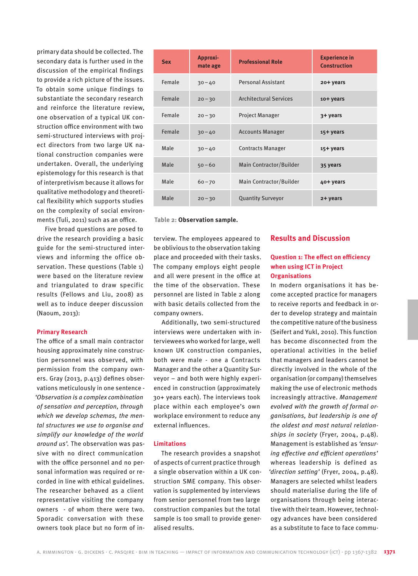primary data should be collected. The secondary data is further used in the discussion of the empirical findings to provide a rich picture of the issues. To obtain some unique findings to substantiate the secondary research and reinforce the literature review, one observation of a typical UK construction office environment with two semi-structured interviews with project directors from two large UK national construction companies were undertaken. Overall, the underlying epistemology for this research is that of interpretivism because it allows for qualitative methodology and theoretical flexibility which supports studies on the complexity of social environments (Tuli, 2011) such as an office.

Five broad questions are posed to drive the research providing a basic guide for the semi-structured interviews and informing the office observation. These questions (Table 1) were based on the literature review and triangulated to draw specific results (Fellows and Liu, 2008) as well as to induce deeper discussion (Naoum, 2013):

#### **Primary Research**

The office of a small main contractor housing approximately nine construction personnel was observed, with permission from the company owners. Gray (2013, p.413) defines observations meticulously in one sentence - *'Observation is a complex combination of sensation and perception, through which we develop schemas, the mental structures we use to organise and simplify our knowledge of the world around us'.* The observation was passive with no direct communication with the office personnel and no personal information was required or recorded in line with ethical guidelines. The researcher behaved as a client representative visiting the company owners - of whom there were two. Sporadic conversation with these owners took place but no form of in-

| <b>Sex</b> | Approxi-<br>mate age | <b>Professional Role</b>      | <b>Experience in</b><br><b>Construction</b> |
|------------|----------------------|-------------------------------|---------------------------------------------|
| Female     | $30 - 40$            | <b>Personal Assistant</b>     | 20+ years                                   |
| Female     | $20 - 30$            | <b>Architectural Services</b> | 10+ years                                   |
| Female     | $20 - 30$            | <b>Project Manager</b>        | 3+ years                                    |
| Female     | $30 - 40$            | <b>Accounts Manager</b>       | 15+ years                                   |
| Male       | $30 - 40$            | <b>Contracts Manager</b>      | 15+ years                                   |
| Male       | $50 - 60$            | Main Contractor/Builder       | 35 years                                    |
| Male       | $60 - 70$            | Main Contractor/Builder       | 40+ years                                   |
| Male       | $20 - 30$            | <b>Quantity Surveyor</b>      | 2+ years                                    |

 **Table 2: Observation sample.**

terview. The employees appeared to be oblivious to the observation taking place and proceeded with their tasks. The company employs eight people and all were present in the office at the time of the observation. These personnel are listed in Table 2 along with basic details collected from the company owners.

Additionally, two semi-structured interviews were undertaken with interviewees who worked for large, well known UK construction companies, both were male - one a Contracts Manager and the other a Quantity Surveyor – and both were highly experienced in construction (approximately 30+ years each). The interviews took place within each employee's own workplace environment to reduce any external influences.

#### **Limitations**

The research provides a snapshot of aspects of current practice through a single observation within a UK construction SME company. This observation is supplemented by interviews from senior personnel from two large construction companies but the total sample is too small to provide generalised results.

## **Results and Discussion**

# **Question 1: The effect on efficiency when using ICT in Project Organisations**

In modern organisations it has become accepted practice for managers to receive reports and feedback in order to develop strategy and maintain the competitive nature of the business (Seifert and Yukl, 2010). This function has become disconnected from the operational activities in the belief that managers and leaders cannot be directly involved in the whole of the organisation (or company) themselves making the use of electronic methods increasingly attractive. *Management evolved with the growth of formal organisations, but leadership is one of the oldest and most natural relationships in society* (Fryer, 2004, p.48). Management is established as *'ensuring effective and efficient operations'* whereas leadership is defined as *'direction setting'* (Fryer, 2004, p.48). Managers are selected whilst leaders should materialise during the life of organisations through being interactive with their team. However, technology advances have been considered as a substitute to face to face commu-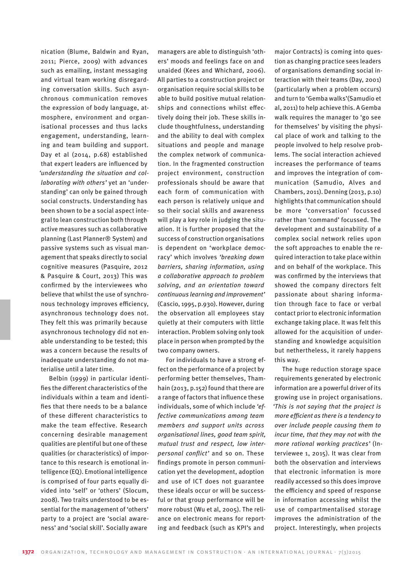nication (Blume, Baldwin and Ryan, 2011; Pierce, 2009) with advances such as emailing, instant messaging and virtual team working disregarding conversation skills. Such asynchronous communication removes the expression of body language, atmosphere, environment and organisational processes and thus lacks engagement, understanding, learning and team building and support. Day et al (2014, p.68) established that expert leaders are influenced by *'understanding the situation and collaborating with others'* yet an 'understanding' can only be gained through social constructs. Understanding has been shown to be a social aspect integral to lean construction both through active measures such as collaborative planning (Last Planner® System) and passive systems such as visual management that speaks directly to social cognitive measures (Pasquire, 2012 & Pasquire & Court, 2013) This was confirmed by the interviewees who believe that whilst the use of synchronous technology improves efficiency, asynchronous technology does not. They felt this was primarily because asynchronous technology did not enable understanding to be tested; this was a concern because the results of inadequate understanding do not materialise until a later time.

Belbin (1999) in particular identifies the different characteristics of the individuals within a team and identifies that there needs to be a balance of these different characteristics to make the team effective. Research concerning desirable management qualities are plentiful but one of these qualities (or characteristics) of importance to this research is emotional intelligence (EQ). Emotional intelligence is comprised of four parts equally divided into 'self' or 'others' (Slocum, 2008). Two traits understood to be essential for the management of 'others' party to a project are 'social awareness' and 'social skill'. Socially aware

managers are able to distinguish 'others' moods and feelings face on and unaided (Kees and Whichard, 2006). All parties to a construction project or organisation require social skills to be able to build positive mutual relationships and connections whilst effectively doing their job. These skills include thoughtfulness, understanding and the ability to deal with complex situations and people and manage the complex network of communication. In the fragmented construction project environment, construction professionals should be aware that each form of communication with each person is relatively unique and so their social skills and awareness will play a key role in judging the situation. It is further proposed that the success of construction organisations is dependent on 'workplace democracy' which involves *'breaking down barriers, sharing information, using a collaborative approach to problem solving, and an orientation toward continuous learning and improvement'* (Cascio, 1995, p.930). However, during the observation all employees stay quietly at their computers with little interaction. Problem solving only took place in person when prompted by the two company owners.

For individuals to have a strong effect on the performance of a project by performing better themselves, Thamhain (2013, p.152) found that there are a range of factors that influence these individuals, some of which include *'effective communications among team members and support units across organisational lines, good team spirit, mutual trust and respect, low interpersonal conflict'* and so on. These findings promote in person communication yet the development, adoption and use of ICT does not guarantee these ideals occur or will be successful or that group performance will be more robust (Wu et al, 2005). The reliance on electronic means for reporting and feedback (such as KPI's and

major Contracts) is coming into question as changing practice sees leaders of organisations demanding social interaction with their teams (Day, 2001) (particularly when a problem occurs) and turn to 'Gemba walks'(Samudio et al, 2011) to help achieve this. A Gemba walk requires the manager to 'go see for themselves' by visiting the physical place of work and talking to the people involved to help resolve problems. The social interaction achieved increases the performance of teams and improves the integration of communication (Samudio, Alves and Chambers, 2011). Denning (2013, p.10) highlights that communication should be more 'conversation' focussed rather than 'command' focussed. The development and sustainability of a complex social network relies upon the soft approaches to enable the required interaction to take place within and on behalf of the workplace. This was confirmed by the interviews that showed the company directors felt passionate about sharing information through face to face or verbal contact prior to electronic information exchange taking place. It was felt this allowed for the acquisition of understanding and knowledge acquisition but nethertheless, it rarely happens this way.

The huge reduction storage space requirements generated by electronic information are a powerful driver of its growing use in project organisations. *'This is not saying that the project is more efficient as there is a tendency to over include people causing them to incur time, that they may not with the more rational working practices'* (Interviewee 1, 2015). It was clear from both the observation and interviews that electronic information is more readily accessed so this does improve the efficiency and speed of response in information accessing whilst the use of compartmentalised storage improves the administration of the project. Interestingly, when projects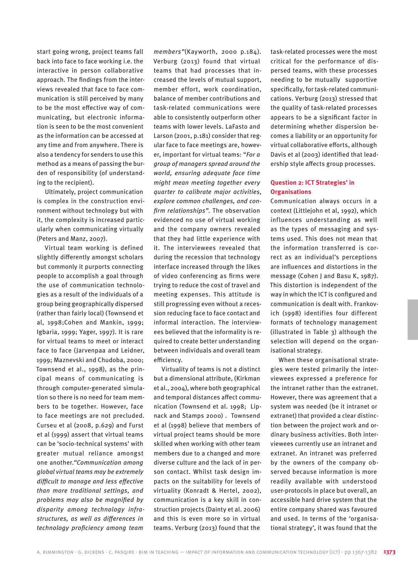start going wrong, project teams fall back into face to face working i.e. the interactive in person collaborative approach. The findings from the interviews revealed that face to face communication is still perceived by many to be the most effective way of communicating, but electronic information is seen to be the most convenient as the information can be accessed at any time and from anywhere. There is also a tendency for senders to use this method as a means of passing the burden of responsibility (of understanding to the recipient).

Ultimately, project communication is complex in the construction environment without technology but with it, the complexity is increased particularly when communicating virtually (Peters and Manz, 2007).

Virtual team working is defined slightly differently amongst scholars but commonly it purports connecting people to accomplish a goal through the use of communication technologies as a result of the individuals of a group being geographically dispersed (rather than fairly local) (Townsend et al, 1998;Cohen and Mankin, 1999; Igbaria, 1999; Yager, 1997). It is rare for virtual teams to meet or interact face to face (Jarvenpaa and Leidner, 1999; Maznevski and Chudoba, 2000; Townsend et al., 1998), as the principal means of communicating is through computer-generated simulation so there is no need for team members to be together. However, face to face meetings are not precluded. Curseu et al (2008, p.629) and Furst et al (1999) assert that virtual teams can be 'socio-technical systems' with greater mutual reliance amongst one another.*"Communication among global virtual teams may be extremely difficult to manage and less effective than more traditional settings, and problems may also be magnified by disparity among technology infrastructures, as well as differences in technology proficiency among team* 

*members"*(Kayworth, 2000 p.184). Verburg (2013) found that virtual teams that had processes that increased the levels of mutual support, member effort, work coordination, balance of member contributions and task-related communications were able to consistently outperform other teams with lower levels. LaFasto and Larson (2001, p.181) consider that regular face to face meetings are, however, important for virtual teams: "*For a group of managers spread around the world, ensuring adequate face time might mean meeting together every quarter to calibrate major activities, explore common challenges, and confirm relationships"*. The observation evidenced no use of virtual working and the company owners revealed that they had little experience with it. The interviewees revealed that during the recession that technology interface increased through the likes of video conferencing as firms were trying to reduce the cost of travel and meeting expenses. This attitude is still progressing even without a recession reducing face to face contact and informal interaction. The interviewees believed that the informality is required to create better understanding between individuals and overall team efficiency.

Virtuality of teams is not a distinct but a dimensional attribute, (Kirkman et al., 2004), where both geographical and temporal distances affect communication (Townsend et al. 1998; Lipnack and Stamps 2000) . Townsend et al (1998) believe that members of virtual project teams should be more skilled when working with other team members due to a changed and more diverse culture and the lack of in person contact. Whilst task design impacts on the suitability for levels of virtuality (Konradt & Hertel, 2002), communication is a key skill in construction projects (Dainty et al. 2006) and this is even more so in virtual teams. Verburg (2013) found that the

task-related processes were the most critical for the performance of dispersed teams, with these processes needing to be mutually supportive specifically, for task-related communications. Verburg (2013) stressed that the quality of task-related processes appears to be a significant factor in determining whether dispersion becomes a liability or an opportunity for virtual collaborative efforts, although Davis et al (2003) identified that leadership style affects group processes.

## **Question 2: ICT Strategies' in Organisations**

Communication always occurs in a context (Littlejohn et al, 1992), which influences understanding as well as the types of messaging and systems used. This does not mean that the information transferred is correct as an individual's perceptions are influences and distortions in the message (Cohen J and Basu K, 1987). This distortion is independent of the way in which the ICT is configured and communication is dealt with. Frankovich (1998) identifies four different formats of technology management (illustrated in Table 3) although the selection will depend on the organisational strategy.

When these organisational strategies were tested primarily the interviewees expressed a preference for the intranet rather than the extranet. However, there was agreement that a system was needed (be it intranet or extranet) that provided a clear distinction between the project work and ordinary business activities. Both interviewees currently use an intranet and extranet. An intranet was preferred by the owners of the company observed because information is more readily available with understood user-protocols in place but overall, an accessible hard drive system that the entire company shared was favoured and used. In terms of the 'organisational strategy', it was found that the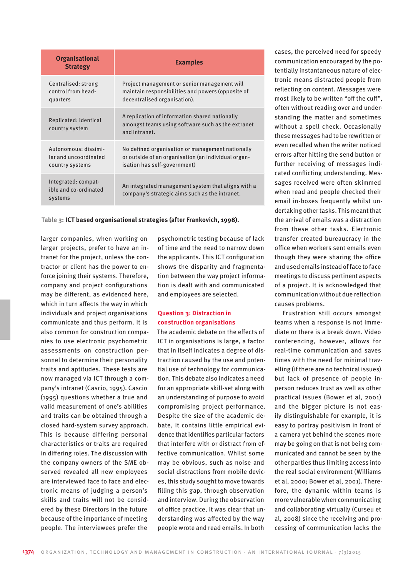| <b>Organisational</b><br><b>Strategy</b>                         | <b>Examples</b>                                                                                                                         |
|------------------------------------------------------------------|-----------------------------------------------------------------------------------------------------------------------------------------|
| Centralised: strong<br>control from head-<br>quarters            | Project management or senior management will<br>maintain responsibilities and powers (opposite of<br>decentralised organisation).       |
| Replicated: identical<br>country system                          | A replication of information shared nationally<br>amongst teams using software such as the extranet<br>and intranet.                    |
| Autonomous: dissimi-<br>lar and uncoordinated<br>country systems | No defined organisation or management nationally<br>or outside of an organisation (an individual organ-<br>isation has self-government) |
| Integrated: compat-<br>ible and co-ordinated<br>systems          | An integrated management system that aligns with a<br>company's strategic aims such as the intranet.                                    |

 **Table 3: ICT based organisational strategies (after Frankovich, 1998).**

larger companies, when working on larger projects, prefer to have an intranet for the project, unless the contractor or client has the power to enforce joining their systems. Therefore, company and project configurations may be different, as evidenced here, which in turn affects the way in which individuals and project organisations communicate and thus perform. It is also common for construction companies to use electronic psychometric assessments on construction personnel to determine their personality traits and aptitudes. These tests are now managed via ICT through a company's intranet (Cascio, 1995). Cascio (1995) questions whether a true and valid measurement of one's abilities and traits can be obtained through a closed hard-system survey approach. This is because differing personal characteristics or traits are required in differing roles. The discussion with the company owners of the SME observed revealed all new employees are interviewed face to face and electronic means of judging a person's skills and traits will not be considered by these Directors in the future because of the importance of meeting people. The interviewees prefer the

psychometric testing because of lack of time and the need to narrow down the applicants. This ICT configuration shows the disparity and fragmentation between the way project information is dealt with and communicated and employees are selected.

# **Question 3: Distraction in construction organisations**

The academic debate on the effects of ICT in organisations is large, a factor that in itself indicates a degree of distraction caused by the use and potential use of technology for communication. This debate also indicates a need for an appropriate skill-set along with an understanding of purpose to avoid compromising project performance. Despite the size of the academic debate, it contains little empirical evidence that identifies particular factors that interfere with or distract from effective communication. Whilst some may be obvious, such as noise and social distractions from mobile devices, this study sought to move towards filling this gap, through observation and interview. During the observation of office practice, it was clear that understanding was affected by the way people wrote and read emails. In both

cases, the perceived need for speedy communication encouraged by the potentially instantaneous nature of electronic means distracted people from reflecting on content. Messages were most likely to be written "off the cuff", often without reading over and understanding the matter and sometimes without a spell check. Occasionally these messages had to be rewritten or even recalled when the writer noticed errors after hitting the send button or further receiving of messages indicated conflicting understanding. Messages received were often skimmed when read and people checked their email in-boxes frequently whilst undertaking other tasks. This meant that the arrival of emails was a distraction from these other tasks. Electronic transfer created bureaucracy in the office when workers sent emails even though they were sharing the office and used emails instead of face to face meetings to discuss pertinent aspects of a project. It is acknowledged that communication without due reflection causes problems.

Frustration still occurs amongst teams when a response is not immediate or there is a break down. Video conferencing, however, allows for real-time communication and saves times with the need for minimal travelling (if there are no technical issues) but lack of presence of people inperson reduces trust as well as other practical issues (Bower et al, 2001) and the bigger picture is not easily distinguishable for example, it is easy to portray positivism in front of a camera yet behind the scenes more may be going on that is not being communicated and cannot be seen by the other parties thus limiting access into the real social environment (Williams et al, 2000; Bower et al, 2001). Therefore, the dynamic within teams is more vulnerable when communicating and collaborating virtually (Curseu et al, 2008) since the receiving and processing of communication lacks the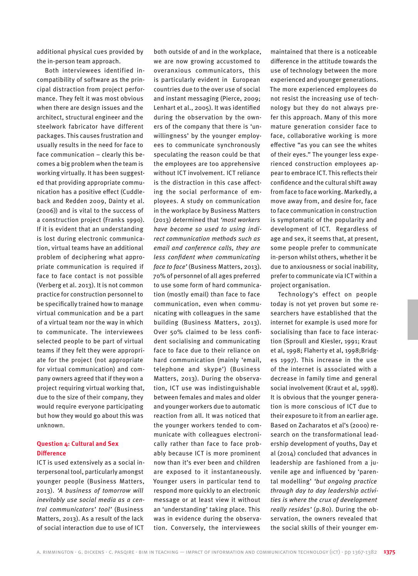additional physical cues provided by the in-person team approach.

Both interviewees identified incompatibility of software as the principal distraction from project performance. They felt it was most obvious when there are design issues and the architect, structural engineer and the steelwork fabricator have different packages. This causes frustration and usually results in the need for face to face communication – clearly this becomes a big problem when the team is working virtually. It has been suggested that providing appropriate communication has a positive effect (Cuddleback and Redden 2009, Dainty et al. (2006)) and is vital to the success of a construction project (Franks 1990). If it is evident that an understanding is lost during electronic communication, virtual teams have an additional problem of deciphering what appropriate communication is required if face to face contact is not possible (Verberg et al. 2013). It is not common practice for construction personnel to be specifically trained how to manage virtual communication and be a part of a virtual team nor the way in which to communicate. The interviewees selected people to be part of virtual teams if they felt they were appropriate for the project (not appropriate for virtual communication) and company owners agreed that if they won a project requiring virtual working that, due to the size of their company, they would require everyone participating but how they would go about this was unknown.

## **Question 4: Cultural and Sex Difference**

ICT is used extensively as a social interpersonal tool, particularly amongst younger people (Business Matters, 2013). *'A business of tomorrow will inevitably use social media as a central communicators' tool'* (Business Matters, 2013). As a result of the lack of social interaction due to use of ICT

both outside of and in the workplace, we are now growing accustomed to overanxious communicators, this is particularly evident in European countries due to the over use of social and instant messaging (Pierce, 2009; Lenhart et al., 2005). It was identified during the observation by the owners of the company that there is 'unwillingness' by the younger employees to communicate synchronously speculating the reason could be that the employees are too apprehensive without ICT involvement. ICT reliance is the distraction in this case affecting the social performance of employees. A study on communication in the workplace by Business Matters (2013) determined that *'most workers have become so used to using indirect communication methods such as email and conference calls, they are less confident when communicating face to face'* (Business Matters, 2013). 70% of personnel of all ages preferred to use some form of hard communication (mostly email) than face to face communication, even when communicating with colleagues in the same building (Business Matters, 2013). Over 50% claimed to be less confident socialising and communicating face to face due to their reliance on hard communication (mainly 'email, telephone and skype') (Business Matters, 2013). During the observation, ICT use was indistinguishable between females and males and older and younger workers due to automatic reaction from all. It was noticed that the younger workers tended to communicate with colleagues electronically rather than face to face probably because ICT is more prominent now than it's ever been and children are exposed to it instantaneously. Younger users in particular tend to respond more quickly to an electronic message or at least view it without an 'understanding' taking place. This was in evidence during the observation. Conversely, the interviewees

maintained that there is a noticeable difference in the attitude towards the use of technology between the more experienced and younger generations. The more experienced employees do not resist the increasing use of technology but they do not always prefer this approach. Many of this more mature generation consider face to face, collaborative working is more effective "as you can see the whites of their eyes." The younger less experienced construction employees appear to embrace ICT. This reflects their confidence and the cultural shift away from face to face working. Markedly, a move away from, and desire for, face to face communication in construction is symptomatic of the popularity and development of ICT. Regardless of age and sex, it seems that, at present, some people prefer to communicate in-person whilst others, whether it be due to anxiousness or social inability, prefer to communicate via ICT within a project organisation.

Technology's effect on people today is not yet proven but some researchers have established that the internet for example is used more for socialising than face to face interaction (Sproull and Kiesler, 1991; Kraut et al, 1998; Flaherty et al, 1998;Bridges 1997). This increase in the use of the internet is associated with a decrease in family time and general social involvement (Kraut et al, 1998). It is obvious that the younger generation is more conscious of ICT due to their exposure to it from an earlier age. Based on Zacharatos et al's (2000) research on the transformational leadership development of youths, Day et al (2014) concluded that advances in leadership are fashioned from a juvenile age and influenced by 'parental modelling' *'but ongoing practice through day to day leadership activities is where the crux of development really resides'* (p.80). During the observation, the owners revealed that the social skills of their younger em-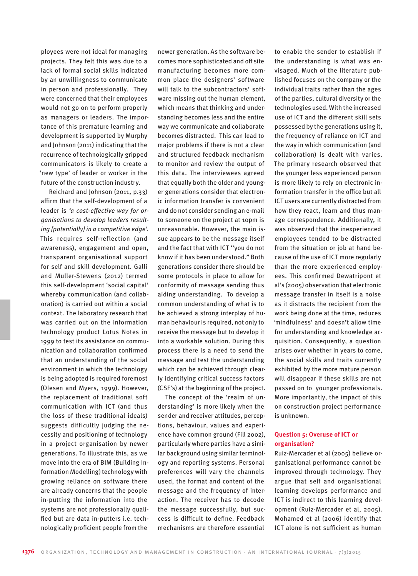ployees were not ideal for managing projects. They felt this was due to a lack of formal social skills indicated by an unwillingness to communicate in person and professionally. They were concerned that their employees would not go on to perform properly as managers or leaders. The importance of this premature learning and development is supported by Murphy and Johnson (2011) indicating that the recurrence of technologically gripped communicators is likely to create a 'new type' of leader or worker in the future of the construction industry.

Reichard and Johnson (2011, p.33) affirm that the self-development of a leader is *'a cost-effective way for organisations to develop leaders resulting [potentially] in a competitive edge'.*  This requires self-reflection (and awareness), engagement and open, transparent organisational support for self and skill development. Galli and Muller-Stewens (2012) termed this self-development 'social capital' whereby communication (and collaboration) is carried out within a social context. The laboratory research that was carried out on the information technology product Lotus Notes in 1999 to test its assistance on communication and collaboration confirmed that an understanding of the social environment in which the technology is being adopted is required foremost (Olesen and Myers, 1999). However, the replacement of traditional soft communication with ICT (and thus the loss of these traditional ideals) suggests difficultly judging the necessity and positioning of technology in a project organisation by newer generations. To illustrate this, as we move into the era of BIM (Building Information Modelling) technology with growing reliance on software there are already concerns that the people in-putting the information into the systems are not professionally qualified but are data in-putters i.e. technologically proficient people from the

newer generation. As the software becomes more sophisticated and off site manufacturing becomes more common place the designers' software will talk to the subcontractors' software missing out the human element, which means that thinking and understanding becomes less and the entire way we communicate and collaborate becomes distracted. This can lead to major problems if there is not a clear and structured feedback mechanism to monitor and review the output of this data. The interviewees agreed that equally both the older and younger generations consider that electronic information transfer is convenient and do not consider sending an e-mail to someone on the project at 10pm is unreasonable. However, the main issue appears to be the message itself and the fact that with ICT ''you do not know if it has been understood." Both generations consider there should be some protocols in place to allow for conformity of message sending thus aiding understanding. To develop a common understanding of what is to be achieved a strong interplay of human behaviour is required, not only to receive the message but to develop it into a workable solution. During this process there is a need to send the message and test the understanding which can be achieved through clearly identifying critical success factors (CSF's) at the beginning of the project.

The concept of the 'realm of understanding' is more likely when the sender and receiver attitudes, perceptions, behaviour, values and experience have common ground (Fill 2002), particularly where parties have a similar background using similar terminology and reporting systems. Personal preferences will vary the channels used, the format and content of the message and the frequency of interaction. The receiver has to decode the message successfully, but success is difficult to define. Feedback mechanisms are therefore essential

to enable the sender to establish if the understanding is what was envisaged. Much of the literature published focuses on the company or the individual traits rather than the ages of the parties, cultural diversity or the technologies used. With the increased use of ICT and the different skill sets possessed by the generations using it, the frequency of reliance on ICT and the way in which communication (and collaboration) is dealt with varies. The primary research observed that the younger less experienced person is more likely to rely on electronic information transfer in the office but all ICT users are currently distracted from how they react, learn and thus manage correspondence. Additionally, it was observed that the inexperienced employees tended to be distracted from the situation or job at hand because of the use of ICT more regularly than the more experienced employees. This confirmed Dewatripont et al's (2005) observation that electronic message transfer in itself is a noise as it distracts the recipient from the work being done at the time, reduces 'mindfulness' and doesn't allow time for understanding and knowledge acquisition. Consequently, a question arises over whether in years to come, the social skills and traits currently exhibited by the more mature person will disappear if these skills are not passed on to younger professionals. More importantly, the impact of this on construction project performance is unknown.

# **Question 5: Overuse of ICT or organisation?**

Ruiz-Mercader et al (2005) believe organisational performance cannot be improved through technology. They argue that self and organisational learning develops performance and ICT is indirect to this learning development (Ruiz-Mercader et al, 2005). Mohamed et al (2006) identify that ICT alone is not sufficient as human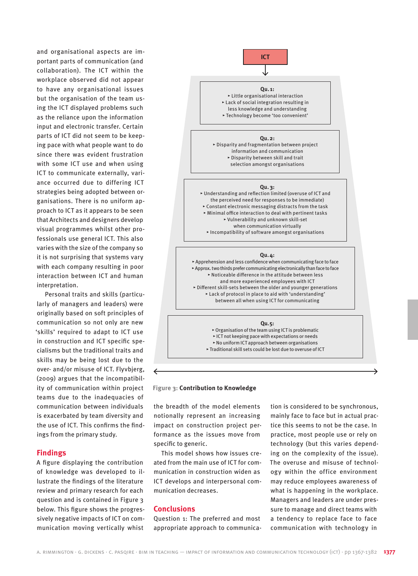and organisational aspects are important parts of communication (and collaboration). The ICT within the workplace observed did not appear to have any organisational issues but the organisation of the team using the ICT displayed problems such as the reliance upon the information input and electronic transfer. Certain parts of ICT did not seem to be keeping pace with what people want to do since there was evident frustration with some ICT use and when using ICT to communicate externally, variance occurred due to differing ICT strategies being adopted between organisations. There is no uniform approach to ICT as it appears to be seen that Architects and designers develop visual programmes whilst other professionals use general ICT. This also varies with the size of the company so it is not surprising that systems vary with each company resulting in poor interaction between ICT and human interpretation.

Personal traits and skills (particularly of managers and leaders) were originally based on soft principles of communication so not only are new 'skills' required to adapt to ICT use in construction and ICT specific specialisms but the traditional traits and skills may be being lost due to the over- and/or misuse of ICT. Flyvbjerg, (2009) argues that the incompatibility of communication within project teams due to the inadequacies of communication between individuals is exacerbated by team diversity and the use of ICT. This confirms the findings from the primary study.

# **Findings**

A figure displaying the contribution of knowledge was developed to illustrate the findings of the literature review and primary research for each question and is contained in Figure 3 below. This figure shows the progressively negative impacts of ICT on communication moving vertically whist



#### **Figure 3: Contribution to Knowledge**

the breadth of the model elements notionally represent an increasing impact on construction project performance as the issues move from specific to generic.

This model shows how issues created from the main use of ICT for communication in construction widen as ICT develops and interpersonal communication decreases.

#### **Conclusions**

Question 1: The preferred and most appropriate approach to communication is considered to be synchronous, mainly face to face but in actual practice this seems to not be the case. In practice, most people use or rely on technology (but this varies depending on the complexity of the issue). The overuse and misuse of technology within the office environment may reduce employees awareness of what is happening in the workplace. Managers and leaders are under pressure to manage and direct teams with a tendency to replace face to face communication with technology in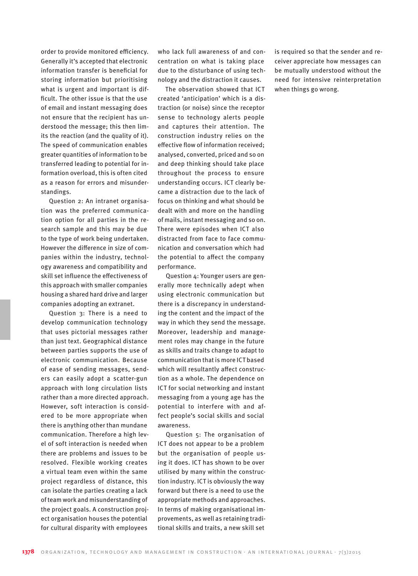order to provide monitored efficiency. Generally it's accepted that electronic information transfer is beneficial for storing information but prioritising what is urgent and important is difficult. The other issue is that the use of email and instant messaging does not ensure that the recipient has understood the message; this then limits the reaction (and the quality of it). The speed of communication enables greater quantities of information to be transferred leading to potential for information overload, this is often cited as a reason for errors and misunderstandings.

Question 2: An intranet organisation was the preferred communication option for all parties in the research sample and this may be due to the type of work being undertaken. However the difference in size of companies within the industry, technology awareness and compatibility and skill set influence the effectiveness of this approach with smaller companies housing a shared hard drive and larger companies adopting an extranet.

Question 3: There is a need to develop communication technology that uses pictorial messages rather than just text. Geographical distance between parties supports the use of electronic communication. Because of ease of sending messages, senders can easily adopt a scatter-gun approach with long circulation lists rather than a more directed approach. However, soft interaction is considered to be more appropriate when there is anything other than mundane communication. Therefore a high level of soft interaction is needed when there are problems and issues to be resolved. Flexible working creates a virtual team even within the same project regardless of distance, this can isolate the parties creating a lack of team work and misunderstanding of the project goals. A construction project organisation houses the potential for cultural disparity with employees

who lack full awareness of and concentration on what is taking place due to the disturbance of using technology and the distraction it causes.

The observation showed that ICT created 'anticipation' which is a distraction (or noise) since the receptor sense to technology alerts people and captures their attention. The construction industry relies on the effective flow of information received; analysed, converted, priced and so on and deep thinking should take place throughout the process to ensure understanding occurs. ICT clearly became a distraction due to the lack of focus on thinking and what should be dealt with and more on the handling of mails, instant messaging and so on. There were episodes when ICT also distracted from face to face communication and conversation which had the potential to affect the company performance.

Question 4: Younger users are generally more technically adept when using electronic communication but there is a discrepancy in understanding the content and the impact of the way in which they send the message. Moreover, leadership and management roles may change in the future as skills and traits change to adapt to communication that is more ICT based which will resultantly affect construction as a whole. The dependence on ICT for social networking and instant messaging from a young age has the potential to interfere with and affect people's social skills and social awareness.

Question 5: The organisation of ICT does not appear to be a problem but the organisation of people using it does. ICT has shown to be over utilised by many within the construction industry. ICT is obviously the way forward but there is a need to use the appropriate methods and approaches. In terms of making organisational improvements, as well as retaining traditional skills and traits, a new skill set

is required so that the sender and receiver appreciate how messages can be mutually understood without the need for intensive reinterpretation when things go wrong.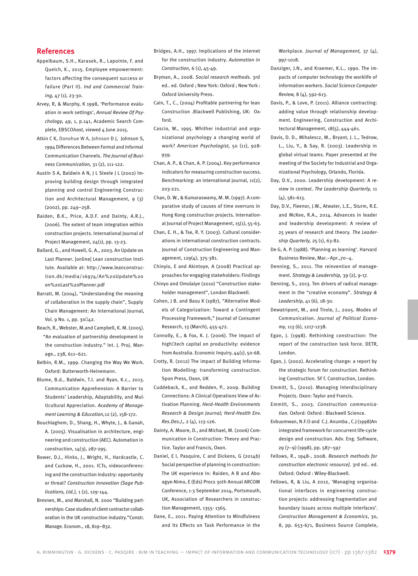#### **References**

- Appelbaum, S.H., Karasek, R., Lapointe, F. and Quelch, K., 2015. Employee empowerment: factors affecting the consequent success or failure (Part II). *Ind and Commercial Training,* 47 (1), 23-30.
- Arvey, R, & Murphy, K 1998, 'Performance evaluation in work settings', *Annual Review Of Psychology,* 49, 1, p.141, Academic Search Complete, EBSCO*host,* viewed 4 June 2015.
- Atkin C K, Donohue W A, Johnson D J, Johnson S, 1994 Differences Between Formal and Informal Communication Channels. *The Journal of Business Communication,* 31 (2), 111-122.
- Austin S A, Baldwin A N, J L Steele J L (2002) Improving building design through integrated planning and control Engineering Construction and Architectural Management, 9 (3) (2002), pp. 249–258.
- Baiden, B.K., Price, A.D.F. and Dainty, A.R.J., (2006). The extent of team integration within construction projects. International Journal of Project Management, 24(1), pp. 13-23.
- Ballard, G., and Howell, G. A., 2003. An Update on Last Planner. [online] Lean construction Institute. Available at: http://www.leanconstruction.dk/media/16974/An%20Update%20 on%20Last%20Planner.pdf
- Barratt, M. (2004), "Understanding the meaning of collaboration in the supply chain", Supply Chain Management: An International Journal, Vol. 9 No. 1, pp. 30‐42.
- Beach, R., Webster, M.and Campbell, K. M. (2005). "An evaluation of partnership development in the construction industry." Int. J. Proj. Manage., 238, 611–621.
- Belbin, R.M., 1999. Changing the Way We Work. Oxford: Butterworth-Heinemann.
- Blume, B.d., Baldwin, T.t. and Ryan, K.c., 2013. Communication Apprehension: A Barrier to Students' Leadership, Adaptability, and Multicultural Appreciation. *Academy of Management Learning & Education,*12 (2), 158-172.
- Bouchlaghem, D., Shang, H., Whyte, J., & Ganah, A. (2005). Visualisation in architecture, engineering and construction (AEC). Automation in construction, 14(3), 287-295.
- Bower, D.J., Hinks, J., Wright, H., Hardcastle, C. and Cuckow, H., 2001. ICTs, videoconferencing and the construction industry: opportunity or threat? *Construction Innovation (Sage Publications, Ltd.),* 1 (2), 129-144.
- Bresnen, M., and Marshall, N. 2000 "Building partnerships: Case studies of client contractor collaboration in the UK construction industry."Constr. Manage. Econom., 18, 819–832.
- Bridges, A.H., 1997. Implications of the internet for the construction industry. *Automation in Construction,* 6 (1), 45-49.
- Bryman, A., 2008. *Social research methods.* 3rd ed.. ed. Oxford ; New York: Oxford ; New York : Oxford University Press.
- Cain, T., C., (2004) Profitable partnering for lean Construction .Blackwell Publishing, UK: Oxford.
- Cascio, W., 1995. Whither industrial and organizational psychology a changing world of work? *American Psychologist,*  50 (11), 928- 939.
- Chan, A. P., & Chan, A. P. (2004). Key performance indicators for measuring construction success. Benchmarking: an international journal, 11(2), 203-221.
- Chan, D. W., & Kumaraswamy, M. M. (1997). A comparative study of causes of time overruns in Hong Kong construction projects. International Journal of Project Management, 15(1), 55-63.
- Chan, E. H., & Tse, R. Y. (2003). Cultural considerations in international construction contracts. Journal of Construction Engineering and Management, 129(4), 375-381.

Chinyio, E and Akintoye, A (2008) Practical approaches for engaging stakeholders: Findings

Chinyo and Omolaiye (2010) "Construction stakeholder management", London Blackwell.

- Cohen, J B. and Basu K (1987), "Alternative Models of Categorization: Toward a Contingent Processing Framework," Journal of Consumer Research, 13 (March), 455-472.
- Connolly, E., & Fox, K. J. (2006). The impact of high tech capital on productivity: evidence from Australia. Economic Inquiry, 44(1), 50-68.
- Crotty, R. (2012) The impact of Building Information Modelling: transforming construction. Spon Press, Oxon, UK
- Cuddeback, K., and Redden, P., 2009. Building Connections: A Clinical Operations View of Activation Planning. *Herd-Health Environments Research & Design Journal; Herd-Health Env. Res.Des.J.,* 2 (4), 113-126.
- Dainty, A. Moore, D., and Michael, M. (2006) Communication in Construction: Theory and Practice. Taylor and Francis, Oxon.
- Daniel, E I, Pasquire, C and Dickens, G (2014b) Social perspective of planning in construction: The UK experience In: Raiden, A B and Aboagye-Nimo, E (Eds) Procs 30th Annual ARCOM Conference, 1-3 September 2014, Portsmouth, UK, Association of Researchers in construction Management, 1355- 1365.
- Dane, E., 2011. Paying Attention to Mindfulness and Its Effects on Task Performance in the

Workplace. *Journal of Management,*  37 (4), 997-1018.

- Danziger, J.N., and Kraemer, K.L., 1990. The impacts of computer technology the worklife of information workers. *Social Science Computer Review,* 8 (4), 592-613.
- Davis, P., & Love, P. (2011). Alliance contracting: adding value through relationship development. Engineering, Construction and Architectural Management, 18(5), 444-461.
- Davis, D. D., Mihalescz, M., Bryant, J. L., Tedrow, L., Liu, Y., & Say, R. (2003). Leadership in global virtual teams. Paper presented at the meeting of the Society for Industrial and Organizational Psychology, Orlando, Florida.
- Day, D.V., 2000. Leadership development: A review in context. *The Leadership Quarterly,* 11 (4), 581-613.
- Day, D.V., Fleenor, J.W., Atwater, L.E., Sturm, R.E. and McKee, R.A., 2014. Advances in leader and leadership development: A review of 25 years of research and theory. *The Leadership Quarterly,* 25 (1), 63-82.
- De G, A. P. (1988). 'Planning as learning'. Harvard Business Review, Mar.–Apr.,70–4.
- Denning, S., 2011. The reinvention of management. *Strategy & Leadership,* 39 (2), 9-17.
- Denning, S., 2013. Ten drivers of radical management in the "creative economy". *Strategy & Leadership,* 41 (6), 18-30.
- Dewatripont, M., and Tirole, J., 2005. Modes of Communication. *Journal of Political Economy,* 113 (6), 1217-1238.
- Egan, J. (1998). Rethinking construction: The report of the construction task force. DETR, London.
- Egan, J. (2002). Accelerating change: a report by the strategic forum for construction. Rethinking Construction. SF f. Construction, London.
- Emmitt, S., (2010). Managing Interdisciplinary Projects. Oxon: Taylor and Francis.
- Emmitt, S., 2003. *Construction communication.* Oxford: Oxford : Blackwell Science.
- Evbuomwan, N.F.O and C.J. Anumba , C.J (1998)An integrated framework for concurrent life-cycle design and construction. Adv. Eng. Software, 29 (7–9) (1998), pp. 587–597
- Fellows, R., 1948-, 2008. *Research methods for construction electronic resource].* 3rd ed.. ed. Oxford: Oxford : Wiley-Blackwell.
- Fellows, R, & Liu, A 2012, 'Managing organisational interfaces in engineering construction projects: addressing fragmentation and boundary issues across multiple interfaces'. *Construction Management & Economics*, 30, 8, pp. 653-671, Business Source Complete,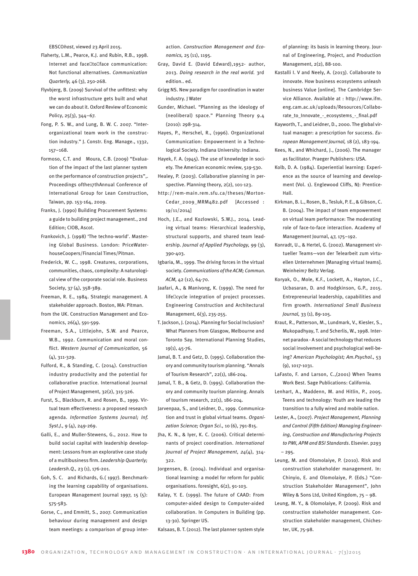EBSCO*host*, viewed 23 April 2015.

- Flaherty, L.M., Pearce, K.J. and Rubin, R.B., 1998. Internet and face to face communication: Not functional alternatives. *Communication Quarterly,* 46 (3), 250-268.
- Flyvbjerg, B. (2009) Survival of the unfittest: why the worst infrastructure gets built and what we can do about it. Oxford Review of Economic Policy, 25(3), 344–67.
- Fong, P. S. W., and Lung, B. W. C. 2007. "Interorganizational team work in the construction industry." J. Constr. Eng. Manage., 1332, 157–168.
- Formoso, C.T. and Moura, C.B. (2009) "Evaluation of the impact of the last planner system on the performance of construction projects",. Proceedings ofthe17thAnnual Conference of International Group for Lean Construction, Taiwan, pp. 153-164, 2009.
- Franks, J. (1990) Building Procurement Systems: a guide to building project management., 2nd Edition; CIOB, Ascot.
- Frankovich, J. (1998) 'The techno-world'. Mastering Global Business. London: PriceWaterhouseCoopers/Financial Times/Pitman.
- Frederick, W. C., 1998. Creatures, corporations, communities, chaos, complexity: A naturological view of the corporate social role. Business Society, 37 (4), 358-389.
- Freeman, R. E., 1984. Strategic management. A stakeholder approach. Boston, MA: Pitman.
- from the UK. Construction Management and Economics, 26(4), 591-599.
- Freeman, S.A., Littlejohn, S.W. and Pearce, W.B., 1992. Communication and moral conflict. *Western Journal of Communication,*  56  $(A)$ , 311-329.
- Fulford, R., & Standing, C. (2014). Construction industry productivity and the potential for collaborative practice. International Journal of Project Management, 32(2), 315-326.
- Furst, S., Blackburn, R. and Rosen, B., 1999. Virtual team effectiveness: a proposed research agenda. *Information Systems Journal; Inf. Syst.J.,* 9 (4), 249-269.
- Galli, E., and Muller-Stewens, G., 2012. How to build social capital with leadership development: Lessons from an explorative case study of a multibusiness firm. *Leadership Quarterly; Leadersh.Q.,* 23 (1), 176-201.
- Goh, S. C. and Richards, G.( 1997). Benchmarking the learning capability of organisations. European Management Journal 1997, 15 (5): 575-583.
- Gorse, C., and Emmitt, S., 2007. Communication behaviour during management and design team meetings: a comparison of group inter-

action. *Construction Management and Economics,* 25 (11), 1195.

- Gray, David E. (David Edward),1952- author, 2013. *Doing research in the real world.*  3rd edition.. ed.
- Grigg NS. New paradigm for coordination in water industry. J Water
- Gunder, Michael. "Planning as the ideology of (neoliberal) space." Planning Theory 9.4 (2010): 298-314.
- Hayes, P., Herschel, R., (1996). Organizational Communication: Empowerment in a Technological Society. Indiana University: Indiana.
- Hayek, F. A. (1945). The use of knowledge in society. The American economic review, 519-530.
- Healey, P. (2003). Collaborative planning in perspective. Planning theory, 2(2), 101-123.
- http://rem-main.rem.sfu.ca/theses/Morton-Cedar\_2009\_MRM482.pdf [Accessed : 19/11/2014]
- Hoch, J.E., and Kozlowski, S.W.J., 2014. Leading virtual teams: Hierarchical leadership, structural supports, and shared team leadership. *Journal of Applied Psychology,* 99 (3), 390-403.
- Igbaria, M., 1999. The driving forces in the virtual society. *Communications of the ACM; Commun. ACM,* 42 (12), 64-70.
- Jaafari, A., & Manivong, K. (1999). The need for life cycle integration of project processes. Engineering Construction and Architectural Management, 6(3), 235-255.
- T. Jackson, J. (2014). Planning for Social Inclusion? What Planners from Glasgow, Melbourne and Toronto Say. International Planning Studies, 19(1), 45-76.
- Jamal, B. T. and Getz, D. (1995). Collaboration theory and community tourism planning. "Annals of Tourism Research", 22(1), 186-204.
- Jamal, T. B., & Getz, D. (1995). Collaboration theory and community tourism planning. Annals of tourism research, 22(1), 186-204.
- Jarvenpaa, S., and Leidner, D., 1999. Communication and trust in global virtual teams. *Organization Science; Organ Sci.,* 10 (6), 791-815.
- Jha, K. N., & Iyer, K. C. (2006). Critical determinants of project coordination. *International Journal of Project Management*, *24*(4), 314- 322.
- Jorgensen, B. (2004). Individual and organisational learning: a model for reform for public organisations. foresight, 6(2), 91-103.
- Kalay, Y. E. (1999). The future of CAAD: From computer-aided design to Computer-aided collaboration. In Computers in Building (pp. 13-30). Springer US.

Kalsaas, B. T. (2012). The last planner system style

of planning: its basis in learning theory. Journal of Engineering, Project, and Production Management, 2(2), 88-100.

- Kastalli I. V and Neely, A. (2013). Collaborate to innovate. How business ecosystems unleash business Value [online]. The Cambridge Service Alliance. Available at : http://www.ifm. eng.cam.ac.uk/uploads/Resources/Collaborate\_to\_Innovate\_-\_ecosystems\_-\_final.pdf
- Kayworth, T., and Leidner, D., 2000. The global virtual manager: a prescription for success. *European Management Journal,* 18 (2), 183-194.
- Kees, N., and Whichard, J., (2006). The manager as facilitator. Praeger Publishers: USA.
- Kolb, D. A. (1984). Experiential learning: Experience as the source of learning and development (Vol. 1). Englewood Cliffs, NJ: Prentice-Hall.
- Kirkman, B. L., Rosen, B., Tesluk, P. E., & Gibson, C. B. (2004). The impact of team empowerment on virtual team performance: The moderating role of face-to-face interaction. Academy of Management Journal, 47, 175–192.
- Konradt, U., & Hertel, G. (2002). Management virtueller Teams—von der Telearbeit zum virtuellen Unternehmen [Managing virtual teams]. Weinheim7 Beltz Verlag.
- Koryak, O., Mole, K.F., Lockett, A., Hayton, J.C., Ucbasaran, D. and Hodgkinson, G.P., 2015. Entrepreneurial leadership, capabilities and firm growth. *International Small Business Journal,* 33 (1), 89-105.
- Kraut, R., Patterson, M., Lundmark, V., Kiesler, S., Mukopadhyay, T. and Scherlis, W., 1998. Internet paradox - A social technology that reduces social involvement and psychological well-being? *American Psychologist; Am.Psychol.,* 53 (9), 1017-1031.
- LaFasto, F. and Larson, C.,(2001) When Teams Work Best. Sage Publications: California.
- Lenhart, A., Maddenn, M. and Hitlin, P., 2005. Teens and technology: Youth are leading the transition to a fully wired and mobile nation.
- Lester, A., (2007). *Project Management, Planning and Control (Fifth Edition) Managing Engineering, Construction and Manufacturing Projects to PMI, APM and BSI Standards*. Elsevier. p293 – 295.
- Leung, M. and Olomolaiye, P. (2010). Risk and construction stakeholder management. In: Chinyio, E. and Olomolaiye, P. (Eds.) "Construction Stakeholder Management", John Wiley & Sons Ltd, United Kingdom, 75 – 98.
- Leung, M. Y., & Olomolaiye, P. (2009). Risk and construction stakeholder management. Construction stakeholder management, Chichester, UK, 75-98.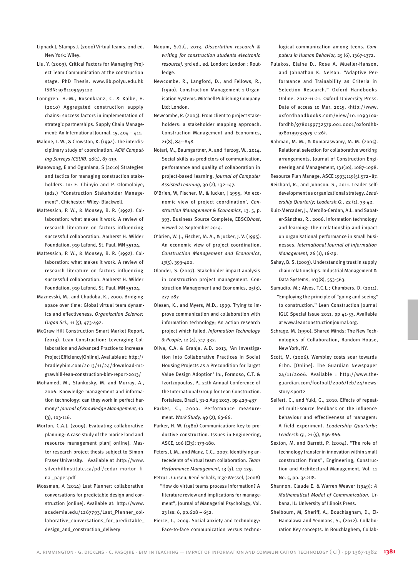Lipnack J, Stamps J. (2000) Virtual teams. 2nd ed. New York: Wiley.

- Liu, Y. (2009), Critical Factors for Managing Project Team Communication at the construction stage. PhD Thesis. www.lib.polyu.edu.hk ISBN: 9781109493122
- Lonngren, H.-M., Rosenkranz, C. & Kolbe, H. (2010) Aggregated construction supply chains: success factors in implementation of strategic partnerships. Supply Chain Management: An International Journal, 15, 404 – 411.
- Malone, T. W., & Crowston, K. (1994). The interdisciplinary study of coordination. *ACM Computing Surveys (CSUR)*, *26*(1), 87-119.
- Manowong, E and Ogunlana, S (2010) Strategies and tactics for managing construction stakeholders. In: E. Chinyio and P. Olomolaiye, (eds.) "Construction Stakeholder Management". Chichester: Wiley- Blackwell.
- Mattessich, P. W., & Monsey, B. R. (1992). Collaboration: what makes it work. A review of research literature on factors influencing successful collaboration. Amherst H. Wilder Foundation, 919 Lafond, St. Paul, MN 55104.
- Mattessich, P. W., & Monsey, B. R. (1992). Collaboration: what makes it work. A review of research literature on factors influencing successful collaboration. Amherst H. Wilder Foundation, 919 Lafond, St. Paul, MN 55104.
- Maznevski, M., and Chudoba, K., 2000. Bridging space over time: Global virtual team dynamics and effectiveness. *Organization Science; Organ Sci.,* 11 (5), 473-492.
- McGraw Hill Construction Smart Market Report, (2013). Lean Construction: Leveraging Collaboration and Advanced Practice to increase Project Efficiency[Online]. Available at: http:// bradleybim.com/2013/11/24/download-mcgrawhill-lean-construction-bim-report-2013/
- Mohamed, M., Stankosky, M. and Murray, A., 2006. Knowledge management and information technology: can they work in perfect harmony? *Journal of Knowledge Management,* 10 (3), 103-116.
- Morton, C.A.J, (2009). Evaluating collaborative planning: A case study of the morice land and resource management plan[ online]. Master research project thesis subject to Simon Fraser University. Available at :http://www. silverhillinstitute.ca/pdf/cedar\_morton\_final\_paper.pdf
- Mossman, A (2014) Last Planner: collaborative conversations for predictable design and construction [online]. Available at: http://www. academia.edu/1267793/Last\_Planner\_collaborative\_conversations\_for\_predictable\_ design\_and\_construction\_delivery
- Naoum, S.G.(., 2013. *Dissertation research & writing for construction students electronic resource].* 3rd ed.. ed. London: London : Routledge.
- Newcombe, R., Langford, D., and Fellows, R., (1990). Construction Management 1-Organisation Systems. Mitchell Publishing Company Ltd: London.
- Newcombe, R. (2003). From client to project stakeholders: a stakeholder mapping approach. Construction Management and Economics, 21(8), 841-848.
- Notari, M., Baumgartner, A. and Herzog, W., 2014. Social skills as predictors of communication, performance and quality of collaboration in project-based learning. *Journal of Computer Assisted Learning,* 30 (2), 132-147.
- O'Brien, W, Fischer, M, & Jucker, J 1995, 'An economic view of project coordination', *Construction Management & Economics*, 13, 5, p. 393, Business Source Complete, EBSCO*host*, viewed 24 September 2014.
- O'brien, W. J., Fischer, M. A., & Jucker, J. V. (1995). An economic view of project coordination. *Construction Management and Economics*, *13*(5), 393-400.
- Olander, S. (2007). Stakeholder impact analysis in construction project management. Construction Management and Economics, 25(3), 277-287.
- Olesen, K., and Myers, M.D., 1999. Trying to improve communication and collaboration with information technology; An action research project which failed. *Information Technology & People,* 12 (4), 317-332.
- Oliva, C.A. & Granja, A.D. 2013, 'An Investigation Into Collaborative Practices in Social Housing Projects as a Precondition for Target Value Design Adoption' In:, Formoso, C.T. & Tzortzopoulos, P., 21th Annual Conference of the International Group for Lean Construction. Fortaleza, Brazil, 31-2 Aug 2013. pp 429-437
- Parker, C., 2000. Performance measurement. *Work Study,* 49 (2), 63-66.
- Parker, H. W. (1980) Communication: key to productive construction. Issues in Engineering, ASCE, 106 (EI3): 173-180.
- Peters, L.M., and Manz, C.C., 2007. Identifying antecedents of virtual team collaboration. *Team Performance Management,* 13 (3), 117-129.
- Petru L. Curseu, René Schalk, Inge Wessel, (2008) "How do virtual teams process information? A literature review and implications for management", Journal of Managerial Psychology, Vol. 23 Iss: 6, pp.628 – 652.
- Pierce, T., 2009. Social anxiety and technology: Face-to-face communication versus techno-

logical communication among teens. *Computers in Human Behavior,* 25 (6), 1367-1372.

- Pulakos, Elaine D., Rose A. Mueller-Hanson, and Johnathan K. Nelson. "Adaptive Performance and Trainability as Criteria in Selection Research." Oxford Handbooks Online. 2012-11-21. Oxford University Press. Date of access 10 Mar. 2015, <http://www. oxfordhandbooks.com/view/10.1093/oxfordhb/9780199732579.001.0001/oxfordhb-9780199732579-e-26>.
- Rahman, M. M., & Kumaraswamy, M. M. (2005). Relational selection for collaborative working arrangements. Journal of Construction Engineering and Management, 131(10), 1087-1098. Resource Plan Manage, ASCE 1993;119(5):572–87.
- Reichard, R., and Johnson, S., 2011. Leader selfdevelopment as organizational strategy. *Leadership Quarterly; Leadersh.Q.,* 22 (1), 33-42.
- Ruiz-Mercader, J., Meroño-Cerdan, A.L. and Sabater-Sánchez, R., 2006. Information technology and learning: Their relationship and impact on organisational performance in small businesses. *International Journal of Information Management,* 26 (1), 16-29.
- Sahay, B. S. (2003). Understanding trust in supply chain relationships. Industrial Management & Data Systems, 103(8), 553-563.
- Samudio, M.; Alves, T.C.L.; Chambers, D. (2011). "Employing the principle of "going and seeing" to construction." Lean Construction Journal IGLC Special Issue 2011, pp 41-53. Available at www.leanconstructionjournal.org.
- Schrage, M. (1990), Shared Minds: The New Technologies of Collaboration, Random House, New York, NY.
- Scott, M. (2006). Wembley costs soar towards £1bn. [Online]. The Guardian Newspaper 24/11/2006. Available : http://www.theguardian.com/football/2006/feb/24/newsstory.sport2
- Seifert, C., and Yukl, G., 2010. Effects of repeated multi-source feedback on the influence behaviour and effectiveness of managers: A field experiment. *Leadership Quarterly; Leadersh.Q.,* 21 (5), 856-866.
- Sexton, M. and Barrett, P. (2004), "The role of technology transfer in innovation within small construction firms", Engineering, Construction and Architectural Management, Vol. 11 No. 5, pp. 342‐8.
- Shannon, Claude E. & Warren Weaver (1949): *A Mathematical Model of Communication.* Urbana, IL: University of Illinois Press.
- Shelbourn, M, Sheriff, A., Bouchlagham, D., El-Hamalawa and Yeomans, S., (2012). Collaboration Key concepts. In Bouchlaghem, Collab-